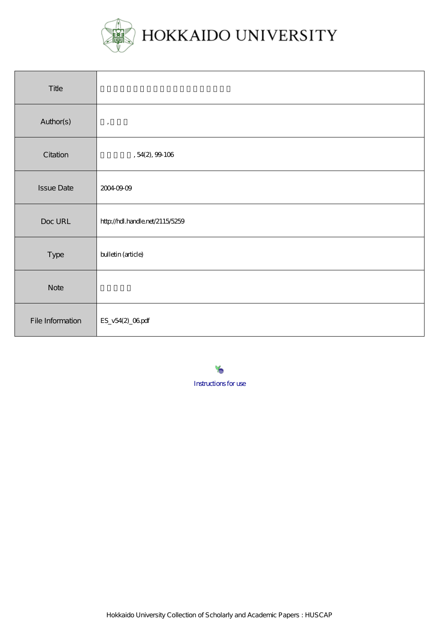

| Title             |                                 |
|-------------------|---------------------------------|
| Author(s)         | $\,$                            |
| Citation          | , 54(2), 99106                  |
| <b>Issue Date</b> | 20040909                        |
| Doc URL           | http://hdl.handle.net/2115/5259 |
| Type              | bulletin (article)              |
| <b>Note</b>       |                                 |
| File Information  | ES_v54(2)_06pdf                 |

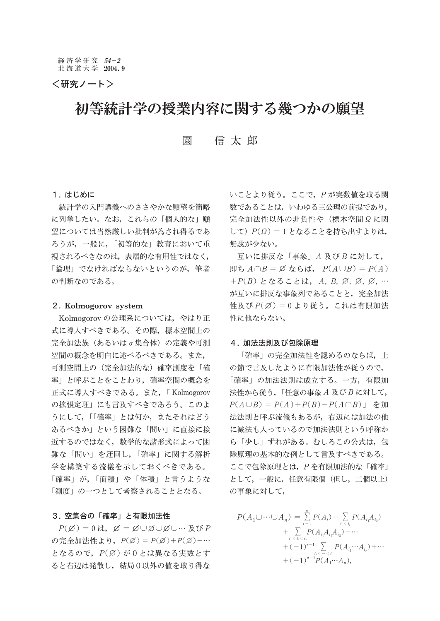<研究ノート>

# 初等統計学の授業内容に関する幾つかの願望

信太郎 園

## 1. はじめに

統計学の入門講義へのささやかな願望を簡略 に列挙したい。なお、これらの「個人的な」願 望については当然厳しい批判が為され得るであ ろうが、一般に、「初等的な」教育において重 視されるべきなのは、表層的な有用性ではなく、 「論理」でなければならないというのが、筆者 の判断なのである。

### 2. Kolmogorov system

Kolmogorov の公理系については、やはり正 式に導入すべきである。その際、標本空間上の 完全加法族(あるいはσ集合体)の定義や可測 空間の概念を明白に述べるべきである。また, 可測空間上の(完全加法的な)確率測度を「確 率」と呼ぶことをことわり、確率空間の概念を 正式に導入すべきである。また、「Kolmogorov の拡張定理」にも言及すべきであろう。このよ うにして、「「確率」とは何か、またそれはどう あるべきか」という困難な「問い」に直接に接 近するのではなく、数学的な諸形式によって困 難な「問い」を迂回し、「確率」に関する解析 学を構築する流儀を示しておくべきである。 「確率」が、「面積」や「体積」と言うような 「測度」の一つとして考察されることとなる。

## 3. 空集合の「確率」と有限加法性

 $P(\emptyset) = 0$  は,  $\emptyset = \emptyset \cup \emptyset \cup \emptyset \cup \cdots \nV$ の完全加法性より,  $P(\emptyset) = P(\emptyset) + P(\emptyset) + \cdots$ となるので, P(Ø)が0とは異なる実数とす ると右辺は発散し、結局0以外の値を取り得な いことより従う。ここで, Pが実数値を取る関 数であることは、いわゆる三公理の前提であり、 完全加法性以外の非負性や (標本空間Ωに関 して) P(Ω) = 1 となることを持ち出すよりは. 無駄が少ない。

互いに排反な「事象」A及びBに対して, 即ち $A \cap B = \emptyset$ ならば,  $P(A \cup B) = P(A)$ + $P(B)$ となることは, A, B, Ø, Ø, Ø, … が互いに排反な事象列であることと、完全加法 性及び $P(\emptyset) = 0$ より従う。これは有限加法 性に他ならない。

### 4. 加法法則及び包除原理

「確率」の完全加法性を認めるのならば、上 の節で言及したように有限加法性が従うので, 「確率」の加法法則は成立する。一方、有限加 法性から従う,「任意の事象A及びBに対して,  $P(A \cup B) = P(A) + P(B) - P(A \cap B)$ 」を加 法法則と呼ぶ流儀もあるが、右辺には加法の他 に減法も入っているので加法法則という呼称か ら「少し」ずれがある。むしろこの公式は、包 除原理の基本的な例として言及すべきである。 ここで包除原理とは, Pを有限加法的な「確率」 として、一般に、任意有限個(但し、二個以上) の事象に対して,

$$
P(A_1 \cup \cdots \cup A_n) = \sum_{i=1}^n P(A_i) - \sum_{i_i < i_1} P(A_{i_1} A_{i_2})
$$
  
+ 
$$
\sum_{i_i < i_1 < i_1} P(A_{i_1} A_{i_2} A_{i_3}) - \cdots
$$
  
+ 
$$
(-1)^{r-1} \sum_{i_1 < \cdots < i_r} P(A_{i_1} \cdots A_{i_r}) + \cdots
$$
  
+ 
$$
(-1)^{n-1} P(A_1 \cdots A_n),
$$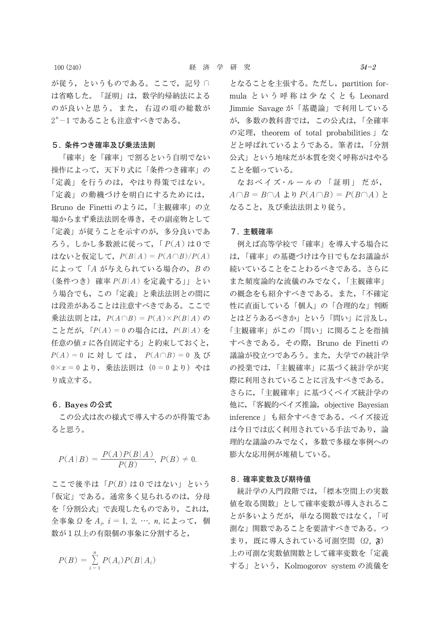$100(240)$ 

が従う、というものである。ここで、記号 n は省略した。「証明」は、数学的帰納法による のが良いと思う。また、右辺の項の総数が 2"-1であることも注意すべきである。

## 5. 条件つき確率及び乗法法則

「確率」を「確率」で割るという自明でない 操作によって、天下り式に「条件つき確率」の 「定義」を行うのは、やはり得策ではない。 「定義」の動機づけを明白にするためには、 Bruno de Finetti のように、「主観確率」の立 場からまず乗法法則を導き、その副産物として 「定義」が従うことを示すのが、多分良いであ ろう。しかし多数派に従って、「P(A)は0で はないと仮定して、 $P(B|A) = P(A \cap B)/P(A)$ によって「A が与えられている場合の, Bの  $(\text{\&} \# \text{\O} \in \text{C})$  確率  $P(B|A)$  を定義する」」とい う場合でも、この「定義」と乗法法則との間に は段差があることは注意すべきである。ここで 乗法法則とは,  $P(A \cap B) = P(A) \times P(B|A)$ の ことだが, 「 $P(A) = 0$ の場合には,  $P(B|A)$ を 任意の値 x に各自固定する」と約束しておくと,  $P(A) = 0$ に対しては,  $P(A \cap B) = 0$ 及び  $0 \times x = 0$  より, 乗法法則は (0 = 0 より) やは り成立する。

## 6. Bayes の公式

この公式は次の様式で導入するのが得策であ ると思う。

$$
P(A | B) = \frac{P(A)P(B | A)}{P(B)}, \ P(B) \neq 0.
$$

ここで後半は「P(B)は0ではない」という 「仮定」である。通常多く見られるのは、分母 を「分割公式」で表現したものであり、これは, 全事象ΩをA<sub>i</sub>, i = 1, 2, …, n, によって, 個 数が1以上の有限個の事象に分割すると,

$$
P(B) = \sum_{i=1}^{n} P(A_i) P(B | A_i)
$$

となることを主張する。ただし、partition formula という呼称は少なくとも Leonard Jimmie Savage が「基礎論」で利用している が、多数の教科書では、この公式は、「全確率 の定理, theorem of total probabilities 」な どと呼ばれているようである。筆者は,「分割 公式」という地味だが本質を突く呼称がはやる ことを願っている。

なおベイズ・ルールの「証明」だが,  $A \cap B = B \cap A$  より  $P(A \cap B) = P(B \cap A)$  と なること、及び乗法法則より従う。

## 7. 主観確率

例えば高等学校で「確率」を導入する場合に は、「確率」の基礎づけは今日でもなお議論が 続いていることをことわるべきである。さらに また頻度論的な流儀のみでなく、「主観確率」 の概念をも紹介すべきである。また、「不確定 性に直面している「個人」の「合理的な」判断 とはどうあるべきか」という「問い」に言及し、 「主観確率」がこの「問い」に関ることを指摘 すべきである。その際, Bruno de Finettiの 議論が役立つであろう。また、大学での統計学 の授業では、「主観確率」に基づく統計学が実 際に利用されていることに言及すべきである。 さらに,「主観確率」に基づくベイズ統計学の 他に,「客観的ベイズ推論, objective Bayesian inference 」も紹介すべきである。ベイズ接近 は今日では広く利用されている手法であり、論 理的な議論のみでなく、多数で多様な事例への 膨大な応用例が堆積している。

## 8. 確率変数及び期待値

統計学の入門段階では、「標本空間上の実数 値を取る関数」として確率変数が導入されるこ とが多いようだが、単なる関数ではなく、「可 測な」関数であることを要請すべきである。つ まり、既に導入されている可測空間 $(\Omega, \mathfrak{F})$ 上の可測な実数値関数として確率変数を「定義 する」という, Kolmogorov system の流儀を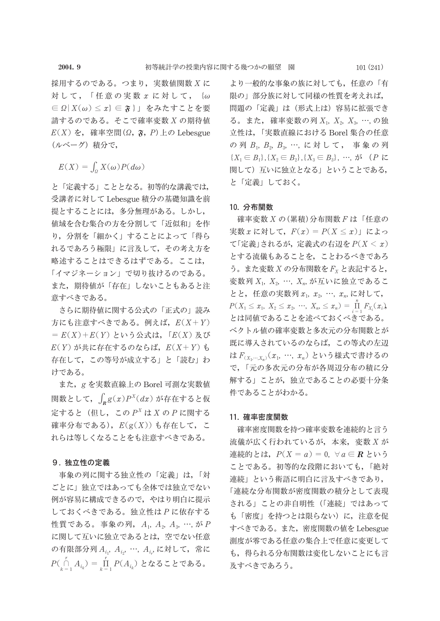採用するのである。つまり,実数値関数 X に 対して, 「任意の実数 x に対して, {ω ∈  $\Omega$ |  $X(\omega)$  ≤  $x$ } ∈  $\mathfrak{F}$ } | をみたすことを要 請するのである。そこで確率変数 X の期待値  $E(X)$  を, 確率空間 $(\Omega, \mathfrak{F}, P)$ 上の Lebesgue (ルベーグ) 積分で,

 $E(X) = \int_{\alpha} X(\omega) P(d\omega)$ 

と「定義する」こととなる。初等的な講義では, 受講者に対して Lebesgue 積分の基礎知識を前 提とすることには、多分無理がある。しかし、 値域を含む集合の方を分割して「近似和」を作 り、分割を「細かく」することによって「得ら れるであろう極限」に言及して、その考え方を 略述することはできるはずである。ここは、 「イマジネーション」で切り抜けるのである。 また、期待値が「存在」しないこともあると注 意すべきである。

さらに期待値に関する公式の「正式の」読み 方にも注意すべきである。例えば、 $E(X+Y)$  $= E(X) + E(Y)$ という公式は、「 $E(X)$ 及び  $E(Y)$ が共に存在するのならば、 $E(X+Y)$ も 存在して、この等号が成立する」と「読む」わ けである。

また、gを実数直線上の Borel 可測な実数値 関数として、 $\int_{\mathbf{B}} g(x) P^{X}(dx)$ が存在すると仮 定すると(但し、この $P^X$ は X の P に関する 確率分布である),  $E(g(X))$ も存在して、こ れらは等しくなることをも注意すべきである。

## 9. 独立性の定義

事象の列に関する独立性の「定義」は、「対 ごとに」独立ではあっても全体では独立でない 例が容易に構成できるので、やはり明白に提示 しておくべきである。独立性はPに依存する 性質である。事象の列,  $A_1$ ,  $A_2$ ,  $A_3$ , …, が P に関して互いに独立であるとは、空でない任意 の有限部分列  $A_{i_1}$ ,  $A_{i_2}$ , …,  $A_{i_r}$ , に対して, 常に  $P(\bigcap_{k=1}^{r} A_{i_k}) = \prod_{k=1}^{r} P(A_{i_k})$  となることである。

より一般的な事象の族に対しても、任意の「有 限の」部分族に対して同様の性質を考えれば. 問題の「定義」は(形式上は)容易に拡張でき る。また, 確率変数の列 X<sub>1</sub>, X<sub>2</sub>, X<sub>3</sub>, …, の独 立性は、「実数直線における Borel 集合の任意 の列 B1, B2, B3, …, に対して, 事象の列  ${X_1 \in B_1}, {X_2 \in B_2}, {X_3 \in B_3}, \dots, \n\forall X \in P \; \forall Z$ 関して)互いに独立となる」ということである, と「定義」しておく。

## 10. 分布関数

確率変数 X の(累積)分布関数 F は「任意の 実数 x に対して、 $F(x) = P(X \leq x)$ 」によっ て「定義」されるが、定義式の右辺を $P(X < x)$ とする流儀もあることを、ことわるべきであろ う。また変数  $X$  の分布関数を $F_{X}$ と表記すると, 変数列  $X_1$ ,  $X_2$ , …,  $X_n$ , が互いに独立であるこ とと, 任意の実数列 x<sub>1</sub>, x<sub>2</sub>, …, x<sub>n</sub>, に対して,  $P(X_1 \leq x_1, X_2 \leq x_2, \dots, X_n \leq x_n) = \prod_{i=1}^{n} F_{X_i}(x_i)$ とは同値であることを述べておくべきである。 ベクトル値の確率変数と多次元の分布関数とが 既に導入されているのならば、この等式の左辺 は $F_{(X_1,\cdots,X_n)}(x_1, \cdots, x_n)$ という様式で書けるの で、「元の多次元の分布が各周辺分布の積に分 解する」ことが、独立であることの必要十分条 件であることがわかる。

## 11. 確率密度関数

確率密度関数を持つ確率変数を連続的と言う 流儀が広く行われているが、本来, 変数 X が 連続的とは,  $P(X = a) = 0$ ,  $\forall a \in \mathbb{R}$  という ことである。初等的な段階においても,「絶対 連続」という術語に明白に言及すべきであり, 「連続な分布関数が密度関数の積分として表現 される」ことの非自明性(「連続」ではあって も「密度」を持つとは限らない)に、注意を促 すべきである。また、密度関数の値を Lebesgue 測度が零である任意の集合上で任意に変更して も、得られる分布関数は変化しないことにも言 及すべきであろう。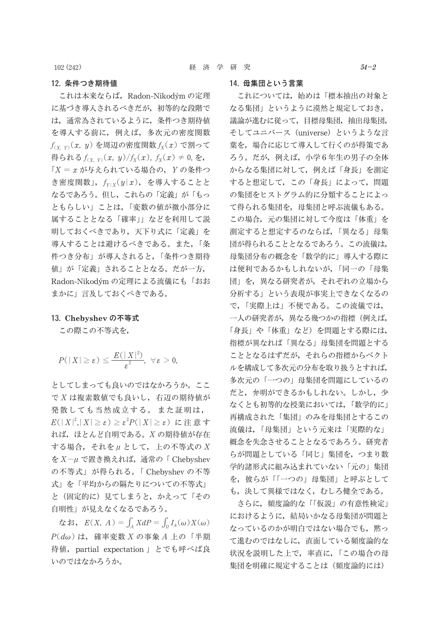102 (242)

## 12. 条件つき期待値

これは本来ならば、Radon-Nikodým の定理 に基づき導入されるべきだが、初等的な段階で は、通常為されているように、条件つき期待値 を導入する前に、例えば、多次元の密度関数  $f_{(X, Y)}(x, y)$ を周辺の密度関数 $f_X(x)$ で割って 得られる  $f_{(X,Y)}(x, y)/f_X(x)$ ,  $f_X(x) \neq 0$ , を,  $\Gamma X = x$ が与えられている場合の, Yの条件つ き密度関数」,  $f_{Y|X}(y|x)$ , を導入することと なるであろう。但し、これらの「定義」が「もっ ともらしい」ことは、「変数の値が微小部分に 属することとなる「確率」」などを利用して説 明しておくべきであり、天下り式に「定義」を 導入することは避けるべきである。また、「条 件つき分布」が導入されると,「条件つき期待 値」が「定義」されることとなる。だが一方, Radon-Nikodým の定理による流儀にも「おお まかに」言及しておくべきである。

#### 13. Chebyshev の不等式

この際この不等式を,

$$
P(|X|\geq \varepsilon)\leq \frac{E(|X|^2)}{\varepsilon^2},\ \ \forall\,\varepsilon>0,
$$

としてしまっても良いのではなかろうか。ここ で X は複素数値でも良いし、右辺の期待値が 発散しても当然成立する。また証明は,  $E(|X|^2, |X| \geq \varepsilon) \geq \varepsilon^2 P(|X| \geq \varepsilon)$ に注意す れば、ほとんど自明である。Xの期待値が存在 する場合, それをμ として, 上の不等式の X を  $X-\mu$  で置き換えれば、通常の「Chebyshev の不等式」が得られる。「Chebyshev の不等 式」を「平均からの隔たりについての不等式」 と(固定的に)見てしまうと、かえって「その 自明性」が見えなくなるであろう。

なお,  $E(X, A) = \int_A X dP = \int_0 I_A(\omega) X(\omega)$  $P(d\omega)$ は、確率変数 X の事象 A 上の「半期 待値, partial expectation 」とでも呼べば良 いのではなかろうか。

これについては、始めは「標本抽出の対象と なる集団」というように漠然と規定しておき、 議論が進むに従って、目標母集団、抽出母集団、 そしてユニバース (universe) というような言 葉を、場合に応じて導入して行くのが得策であ ろう。だが、例えば、小学6年生の男子の全体 からなる集団に対して、例えば「身長」を測定 すると想定して、この「身長」によって、問題 の集団をヒストグラム的に分類することによっ て得られる集団を、母集団と呼ぶ流儀もある。 この場合、元の集団に対して今度は「体重」を 測定すると想定するのならば、「異なる」母集 団が得られることとなるであろう。この流儀は, 母集団分布の概念を「数学的に」導入する際に は便利であるかもしれないが、「同一の「母集 団」を、異なる研究者が、それぞれの立場から 分析する」という表現が事実上できなくなるの で、「実際上は」不便である。この流儀では, 一人の研究者が、異なる幾つかの指標(例えば, 「身長」や「体重」など)を問題とする際には, 指標が異なれば「異なる」母集団を問題とする こととなるはずだが、それらの指標からベクト ルを構成して多次元の分布を取り扱うとすれば、 多次元の「一つの」母集団を問題にしているの だと、弁明ができるかもしれない。しかし、少 なくとも初等的な授業においては、「数学的に」 再構成された「集団」のみを母集団とするこの 流儀は、「母集団」という元来は「実際的な」 概念を失念させることとなるであろう。研究者 らが問題としている「同じ」集団を、つまり数 学的諸形式に組み込まれていない「元の」集団 を、彼らが「「一つの」母集団」と呼ぶとして も、決して異様ではなく、むしろ健全である。

さらに、頻度論的な「「仮説」の有意性検定」 におけるように、結局いかなる母集団が問題と なっているのかが明白ではない場合でも、黙っ て進むのではなしに、直面している頻度論的な 状況を説明した上で、率直に、「この場合の母 集団を明確に規定することは (頻度論的には)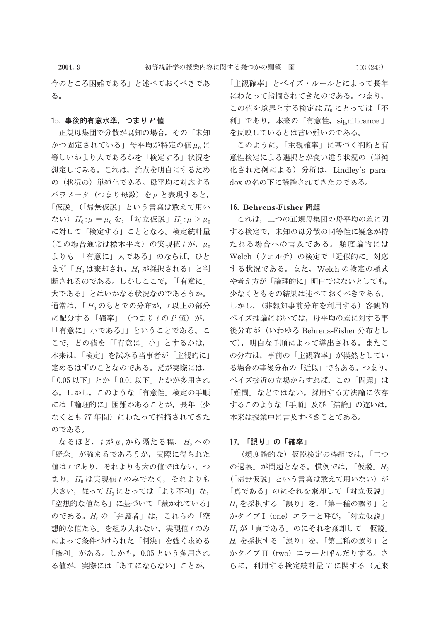今のところ困難である」と述べておくべきであ る。

#### 15. 事後的有意水準, つまり P 値

正規母集団で分散が既知の場合、その「未知 かつ固定されている」母平均が特定の値μ。に 等しいかより大であるかを「検定する」状況を 想定してみる。これは、論点を明白にするため の(状況の)単純化である。母平均に対応する パラメータ (つまり母数) をμ と表現すると, 「仮説」(「帰無仮説」という言葉は敢えて用い ない)  $H_0: \mu = \mu_0$ を, 「対立仮説」 $H_1: \mu > \mu_0$ に対して「検定する」こととなる。検定統計量 (この場合通常は標本平均) の実現値 t が, μo よりも「「有意に」大である」のならば、ひと まず「H は棄却され, H が採択される」と判 断されるのである。しかしここで、「「有意に」 大である」とはいかなる状況なのであろうか。 通常は, 「Hoのもとでの分布が, t 以上の部分 に配分する「確率」 (つまりtのP値) が, 「「有意に」小である」」ということである。こ こで、どの値を「「有意に」小」とするかは、 本来は、「検定」を試みる当事者が「主観的に」 定めるはずのことなのである。だが実際には, 「0.05 以下」とか「0.01 以下」とかが多用され る。しかし、このような「有意性」検定の手順 には「論理的に」困難があることが、長年(少 なくとも 77 年間) にわたって指摘されてきた のである。

なるほど,  $t \nleftrightarrow \mu_0$ から隔たる程,  $H_0 \sim \mathcal{O}$ 「疑念」が強まるであろうが,実際に得られた 値はtであり、それよりも大の値ではない。つ まり, Hoは実現値 tのみでなく、それよりも 大きい, 従ってH<sub>0</sub>にとっては「より不利」な, 「空想的な値たち」に基づいて「裁かれている」 のである。H<sub>0</sub>の「弁護者」は、これらの「空 想的な値たち」を組み入れない,実現値tのみ によって条件づけられた「判決」を強く求める 「権利」がある。しかも,0.05 という多用され る値が、実際には「あてにならない」ことが、 「主観確率」とベイズ・ルールとによって長年 にわたって指摘されてきたのである。つまり, この値を境界とする検定はHoにとっては「不 利」であり、本来の「有意性, significance」 を反映しているとは言い難いのである。

このように,「主観確率」に基づく判断と有 意性検定による選択とが食い違う状況の(単純 化された例による) 分析は, Lindley's paradox の名の下に議論されてきたのである。

### 16. Behrens-Fisher 問題

これは、二つの正規母集団の母平均の差に関 する検定で、未知の母分散の同等性に疑念が持 たれる場合への言及である。頻度論的には Welch (ウェルチ)の検定で「近似的に」対応 する状況である。また、Welch の検定の様式 や考え方が「論理的に」明白ではないとしても, 少なくともその結果は述べておくべきである。 しかし、(非報知事前分布を利用する) 客観的 ベイズ推論においては、母平均の差に対する事 後分布が (いわゆる Behrens-Fisher 分布とし て), 明白な手順によって導出される。またこ の分布は、事前の「主観確率」が漠然としてい る場合の事後分布の「近似」でもある。つまり, ベイズ接近の立場からすれば、この「問題」は 「難問」などではない。採用する方法論に依存 するこのような「手順」及び「結論」の違いは, 本来は授業中に言及すべきことである。

#### 17. 「誤り」の「確率」

(頻度論的な) 仮説検定の枠組では、「二つ の過誤」が問題となる。慣例では,「仮説」Ho (「帰無仮説」という言葉は敢えて用いない)が 「真である」のにそれを棄却して「対立仮説」  $H_1$ を採択する「誤り」を、「第一種の誤り」と かタイプ I (one) エラーと呼び、「対立仮説」 H<sub>1</sub>が「真である」のにそれを棄却して「仮説」  $H_0$ を採択する「誤り」を、「第二種の誤り」と かタイプ II (two) エラーと呼んだりする。さ らに, 利用する検定統計量 T に関する (元来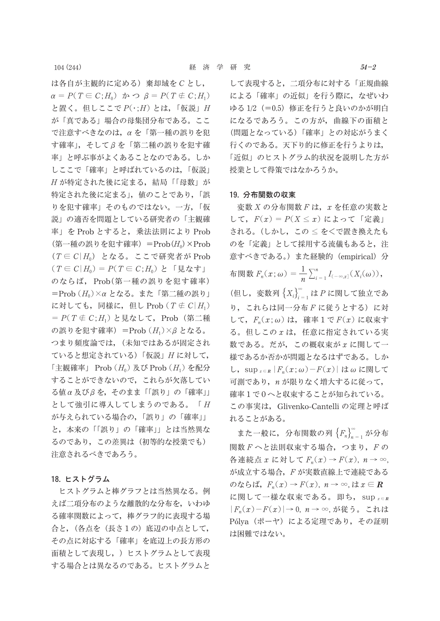は各自が主観的に定める) 棄却域を C とし,  $\alpha = P(T \in C; H_0)$   $\phi \circ \beta = P(T \notin C; H_1)$ と置く。但しここで P(·; H) とは, 「仮説」 H が「真である」場合の母集団分布である。ここ で注意すべきなのは、αを「第一種の誤りを犯 す確率」,そしてβを「第二種の誤りを犯す確 率」と呼ぶ事がよくあることなのである。しか しここで「確率」と呼ばれているのは、「仮説」 H が特定された後に定まる, 結局「「母数」が 特定された後に定まる」, 値のことであり,「誤 りを犯す確率」そのものではない。一方,「仮 説」の適否を問題としている研究者の「主観確 率」を Prob とすると、乗法法則により Prob (第一種の誤りを犯す確率) = Prob $(H_0) \times$  Prob  $(T \in C | H_0)$  となる。ここで研究者が Prob  $(T \in C | H_0) = P(T \in C; H_0)$ と「見なす」 のならば、Prob(第一種の誤りを犯す確率) =Prob  $(H_0) \times \alpha$  となる。また「第二種の誤り」 に対しても、同様に、但し Prob  $(T \notin C|H_1)$ =  $P(T \notin C; H_1)$ と見なして, Prob (第二種 の誤りを犯す確率) = Prob  $(H_1) \times \beta$  となる。 つまり頻度論では、(未知ではあるが固定され ていると想定されている)「仮説」Hに対して, 「主観確率」 Prob  $(H_0)$  及び Prob  $(H_1)$  を配分 することができないので、これらが欠落してい る値α及びβを、そのまま「「誤り」の「確率」」 として強引に導入してしまうのである。「H が与えられている場合の、「誤り」の「確率」」 と、本来の「「誤り」の「確率」」とは当然異な るのであり、この差異は(初等的な授業でも) 注意されるべきであろう。

## 18. ヒストグラム

ヒストグラムと棒グラフとは当然異なる。例 えば二項分布のような離散的な分布を、いわゆ る確率関数によって、棒グラフ的に表現する場 合と、(各点を(長さ1の)底辺の中点として, その点に対応する「確率」を底辺上の長方形の 面積として表現し、) ヒストグラムとして表現 する場合とは異なるのである。ヒストグラムと

して表現すると、二項分布に対する「正規曲線 による「確率」の近似」を行う際に、なぜいわ ゆる1/2 (=0.5) 修正を行うと良いのかが明白 になるであろう。この方が、曲線下の面積と (問題となっている)「確率」との対応がうまく 行くのである。天下り的に修正を行うよりは, 「近似」のヒストグラム的状況を説明した方が 授業として得策ではなかろうか。

#### 19. 分布関数の収束

変数 X の分布関数 F は, x を任意の実数と して,  $F(x) = P(X \leq x)$  によって「定義」 される。(しかし、この <をくで置き換えたも のを「定義」として採用する流儀もあると、注 意すべきである。)また経験的 (empirical) 分 布関数  $F_n(x;\omega) = \frac{1}{n} \sum_{i=1}^n I_{(-\infty,x]}(X_i(\omega)),$ (但し、変数列 $\left\{X_i\right\}_{i=1}^{\infty}$ は P に関して独立であ り,これらは同一分布Fに従うとする)に対 して、 $F_n(x; \omega)$ は、確率1で $F(x)$ に収束す る。但しこの x は、任意に指定されている実 数である。だが、この概収束がxに関して一 様であるか否かが問題となるはずである。しか し, sup<sub> $x∈R$ </sub>  $|F_n(x;ω) - F(x)|$  はω に関して 可測であり, n が限りなく増大するに従って, 確率1で0へと収束することが知られている。 この事実は、Glivenko-Cantelliの定理と呼ば れることがある。

また一般に、分布関数の列 $\{F_n\}_{n=1}^{\infty}$ が分布 関数 F へと法則収束する場合, つまり, F の 各連続点  $x \nleftrightarrow x$  して  $F_n(x) \rightarrow F(x)$ ,  $n \rightarrow \infty$ , が成立する場合, F が実数直線上で連続である のならば,  $F_n(x) \to F(x)$ ,  $n \to \infty$ , は $x \in \mathbb{R}$ に関して一様な収束である。即ち、sup x = R  $|F_n(x)-F(x)|\to 0, n\to\infty$ , が従う。これは Pólya (ポーヤ) による定理であり、その証明 は困難ではない。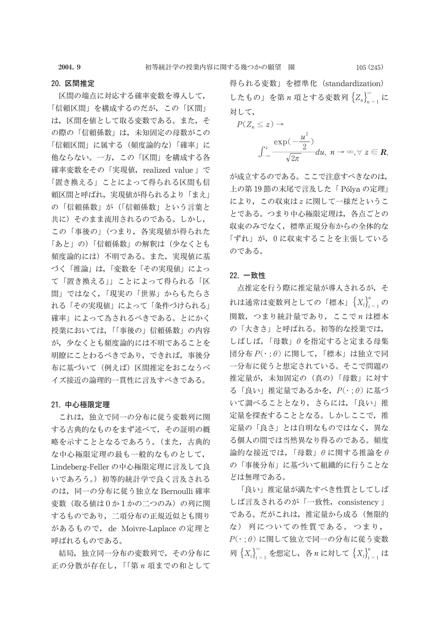2004.9

## 20. 区間推定

区間の端点に対応する確率変数を導入して, 「信頼区間」を構成するのだが、この「区間」 は、区間を値として取る変数である。また、そ の際の「信頼係数」は、未知固定の母数がこの 「信頼区間」に属する(頻度論的な)「確率」に 他ならない。一方、この「区間」を構成する各 確率変数をその「実現値, realized value」で 「置き換える」ことによって得られる区間も信 頼区間と呼ばれ、実現値が得られるより「まえ」 の「信頼係数」が(「信頼係数」という言葉と 共に)そのまま流用されるのである。しかし, この「事後の」(つまり、各実現値が得られた 「あと」の)「信頼係数」の解釈は(少なくとも 頻度論的には)不明である。また、実現値に基 づく「推論」は、「変数を「その実現値」によっ て「置き換える」」ことによって得られる「区 間」ではなく、「現実の「世界」からもたらさ れる「その実現値」によって「条件づけられる」 確率」によって為されるべきである。とにかく 授業においては、「「事後の」信頼係数」の内容 が、少なくとも頻度論的には不明であることを 明瞭にことわるべきであり、できれば、事後分 布に基づいて(例えば)区間推定をおこなうべ イズ接近の論理的一貫性に言及すべきである。

#### 21. 中心極限定理

これは、独立で同一の分布に従う変数列に関 する古典的なものをまず述べて、その証明の概 略を示すこととなるであろう。(また、古典的 な中心極限定理の最も一般的なものとして, Lindeberg-Feller の中心極限定理に言及して良 いであろう。) 初等的統計学で良く言及される のは、同一の分布に従う独立な Bernoulli 確率 変数(取る値は0か1かの二つのみ)の列に関 するものであり、二項分布の正規近似とも関り があるもので, de Moivre-Laplace の定理と 呼ばれるものである。

結局、独立同一分布の変数列で、その分布に 正の分散が存在し, 「「第n 項までの和として 得られる変数」を標準化 (standardization) したもの」を第n項とする変数列 ${Z_n}_{n=1}^{\infty}$ に 対して、

$$
P(Z_n \leq z) \to
$$
  

$$
\int_{-\infty}^{z} \frac{\exp(-\frac{u^2}{2})}{\sqrt{2\pi}} du, \quad n \to \infty, \forall z \in \mathbb{R}
$$

が成立するのである。ここで注意すべきなのは、 上の第19節の末尾で言及した「Pólyaの定理」 により、この収束はzに関して一様だというこ とである。つまり中心極限定理は、各点ごとの 収束のみでなく、標準正規分布からの全体的な 「ずれ」が, 0に収束することを主張している のである。

## 22. 一致性

点推定を行う際に推定量が導入されるが、そ れは通常は変数列としての「標本」 $\{X_i\}_{i=1}^n$ の 関数、つまり統計量であり、ここでnは標本 の「大きさ」と呼ばれる。初等的な授業では, しばしば、「母数」θを指定すると定まる母集 団分布  $P(\cdot : \theta)$  に関して、「標本」は独立で同 一分布に従うと想定されている。そこで問題の 推定量が、未知固定の (真の)「母数」に対す る「良い」推定量であるかを、 $P(\cdot\,;\theta)$ に基づ いて調べることとなり、さらには、「良い」推 定量を探査することとなる。しかしここで、推 定量の「良さ」とは自明なものではなく、異な る個人の間では当然異なり得るのである。頻度 論的な接近では、「母数」 $\theta$ に関する推論を $\theta$ の「事後分布」に基づいて組織的に行うことな どは無理である。

「良い」推定量が満たすべき性質としてしば しば言及されるのが「一致性, consistency」 である。だがこれは、推定量から成る(無限的 な) 列についての性質である。つまり,  $P(\cdot;\theta)$ に関して独立で同一の分布に従う変数 列 $\{X_i\}_{i=1}^{\infty}$ を想定し, 各 n に対して $\{X_i\}_{i=1}^n$ は